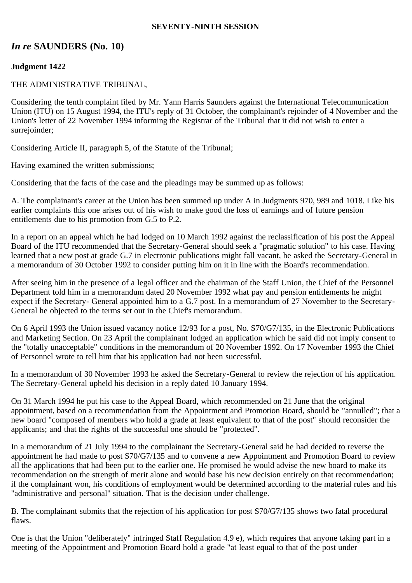#### **SEVENTY-NINTH SESSION**

# *In re* **SAUNDERS (No. 10)**

## **Judgment 1422**

### THE ADMINISTRATIVE TRIBUNAL,

Considering the tenth complaint filed by Mr. Yann Harris Saunders against the International Telecommunication Union (ITU) on 15 August 1994, the ITU's reply of 31 October, the complainant's rejoinder of 4 November and the Union's letter of 22 November 1994 informing the Registrar of the Tribunal that it did not wish to enter a surrejoinder;

Considering Article II, paragraph 5, of the Statute of the Tribunal;

Having examined the written submissions;

Considering that the facts of the case and the pleadings may be summed up as follows:

A. The complainant's career at the Union has been summed up under A in Judgments 970, 989 and 1018. Like his earlier complaints this one arises out of his wish to make good the loss of earnings and of future pension entitlements due to his promotion from G.5 to P.2.

In a report on an appeal which he had lodged on 10 March 1992 against the reclassification of his post the Appeal Board of the ITU recommended that the Secretary-General should seek a "pragmatic solution" to his case. Having learned that a new post at grade G.7 in electronic publications might fall vacant, he asked the Secretary-General in a memorandum of 30 October 1992 to consider putting him on it in line with the Board's recommendation.

After seeing him in the presence of a legal officer and the chairman of the Staff Union, the Chief of the Personnel Department told him in a memorandum dated 20 November 1992 what pay and pension entitlements he might expect if the Secretary- General appointed him to a G.7 post. In a memorandum of 27 November to the Secretary-General he objected to the terms set out in the Chief's memorandum.

On 6 April 1993 the Union issued vacancy notice 12/93 for a post, No. S70/G7/135, in the Electronic Publications and Marketing Section. On 23 April the complainant lodged an application which he said did not imply consent to the "totally unacceptable" conditions in the memorandum of 20 November 1992. On 17 November 1993 the Chief of Personnel wrote to tell him that his application had not been successful.

In a memorandum of 30 November 1993 he asked the Secretary-General to review the rejection of his application. The Secretary-General upheld his decision in a reply dated 10 January 1994.

On 31 March 1994 he put his case to the Appeal Board, which recommended on 21 June that the original appointment, based on a recommendation from the Appointment and Promotion Board, should be "annulled"; that a new board "composed of members who hold a grade at least equivalent to that of the post" should reconsider the applicants; and that the rights of the successful one should be "protected".

In a memorandum of 21 July 1994 to the complainant the Secretary-General said he had decided to reverse the appointment he had made to post S70/G7/135 and to convene a new Appointment and Promotion Board to review all the applications that had been put to the earlier one. He promised he would advise the new board to make its recommendation on the strength of merit alone and would base his new decision entirely on that recommendation; if the complainant won, his conditions of employment would be determined according to the material rules and his "administrative and personal" situation. That is the decision under challenge.

B. The complainant submits that the rejection of his application for post S70/G7/135 shows two fatal procedural flaws.

One is that the Union "deliberately" infringed Staff Regulation 4.9 e), which requires that anyone taking part in a meeting of the Appointment and Promotion Board hold a grade "at least equal to that of the post under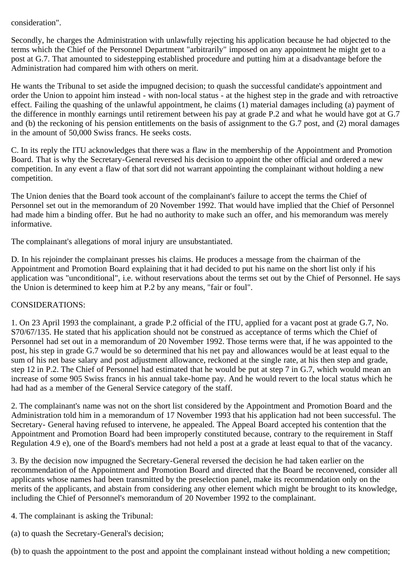## consideration".

Secondly, he charges the Administration with unlawfully rejecting his application because he had objected to the terms which the Chief of the Personnel Department "arbitrarily" imposed on any appointment he might get to a post at G.7. That amounted to sidestepping established procedure and putting him at a disadvantage before the Administration had compared him with others on merit.

He wants the Tribunal to set aside the impugned decision; to quash the successful candidate's appointment and order the Union to appoint him instead - with non-local status - at the highest step in the grade and with retroactive effect. Failing the quashing of the unlawful appointment, he claims (1) material damages including (a) payment of the difference in monthly earnings until retirement between his pay at grade P.2 and what he would have got at G.7 and (b) the reckoning of his pension entitlements on the basis of assignment to the G.7 post, and (2) moral damages in the amount of 50,000 Swiss francs. He seeks costs.

C. In its reply the ITU acknowledges that there was a flaw in the membership of the Appointment and Promotion Board. That is why the Secretary-General reversed his decision to appoint the other official and ordered a new competition. In any event a flaw of that sort did not warrant appointing the complainant without holding a new competition.

The Union denies that the Board took account of the complainant's failure to accept the terms the Chief of Personnel set out in the memorandum of 20 November 1992. That would have implied that the Chief of Personnel had made him a binding offer. But he had no authority to make such an offer, and his memorandum was merely informative.

The complainant's allegations of moral injury are unsubstantiated.

D. In his rejoinder the complainant presses his claims. He produces a message from the chairman of the Appointment and Promotion Board explaining that it had decided to put his name on the short list only if his application was "unconditional", i.e. without reservations about the terms set out by the Chief of Personnel. He says the Union is determined to keep him at P.2 by any means, "fair or foul".

## CONSIDERATIONS:

1. On 23 April 1993 the complainant, a grade P.2 official of the ITU, applied for a vacant post at grade G.7, No. S70/67/135. He stated that his application should not be construed as acceptance of terms which the Chief of Personnel had set out in a memorandum of 20 November 1992. Those terms were that, if he was appointed to the post, his step in grade G.7 would be so determined that his net pay and allowances would be at least equal to the sum of his net base salary and post adjustment allowance, reckoned at the single rate, at his then step and grade, step 12 in P.2. The Chief of Personnel had estimated that he would be put at step 7 in G.7, which would mean an increase of some 905 Swiss francs in his annual take-home pay. And he would revert to the local status which he had had as a member of the General Service category of the staff.

2. The complainant's name was not on the short list considered by the Appointment and Promotion Board and the Administration told him in a memorandum of 17 November 1993 that his application had not been successful. The Secretary- General having refused to intervene, he appealed. The Appeal Board accepted his contention that the Appointment and Promotion Board had been improperly constituted because, contrary to the requirement in Staff Regulation 4.9 e), one of the Board's members had not held a post at a grade at least equal to that of the vacancy.

3. By the decision now impugned the Secretary-General reversed the decision he had taken earlier on the recommendation of the Appointment and Promotion Board and directed that the Board be reconvened, consider all applicants whose names had been transmitted by the preselection panel, make its recommendation only on the merits of the applicants, and abstain from considering any other element which might be brought to its knowledge, including the Chief of Personnel's memorandum of 20 November 1992 to the complainant.

4. The complainant is asking the Tribunal:

(a) to quash the Secretary-General's decision;

(b) to quash the appointment to the post and appoint the complainant instead without holding a new competition;